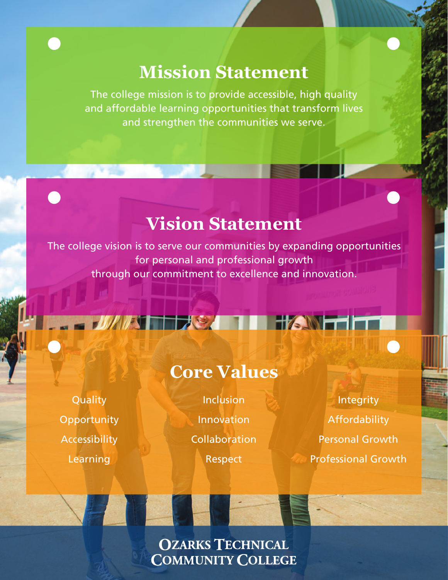# **Mission Statement**

The college mission is to provide accessible, high quality and affordable learning opportunities that transform lives and strengthen the communities we serve.

# **Vision Statement**

The college vision is to serve our communities by expanding opportunities for personal and professional growth through our commitment to excellence and innovation.

**Quality Opportunity** Accessibility Learning

# **Core Values**

**Inclusion** Innovation Collaboration

Respect

Integrity Affordability Personal Growth Professional Growth

## **OZARKS TECHNICAL COMMUNITY COLLEGE**

**DESPE**